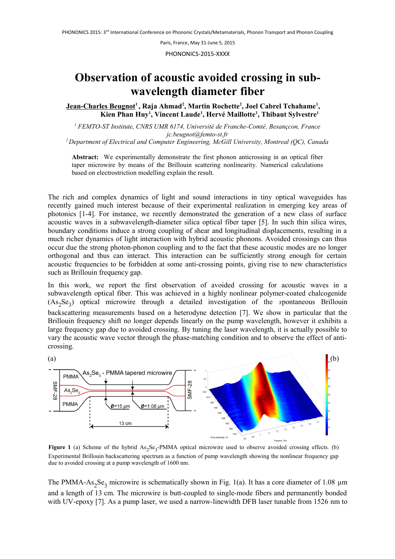Paris, France, May 31-June 5, 2015

PHONONICS-2015-XXXX

## **Observation of acoustic avoided crossing in subwavelength diameter fiber**

**Jean-Charles Beugnot<sup>1</sup> , Raja Ahmad<sup>2</sup> , Martin Rochette<sup>2</sup> , Joel Cabrel Tchahame<sup>1</sup> , Kien Phan Huy<sup>1</sup> , Vincent Laude<sup>1</sup> , Hervé Maillotte<sup>1</sup> , Thibaut Sylvestre<sup>1</sup>**

*<sup>1</sup> FEMTO-ST Institute, CNRS UMR 6174, Université de Franche-Comté, Besançcon, France jc.beugnot@femto-st.fr <sup>2</sup>Department of Electrical and Computer Engineering, McGill University, Montreal (QC), Canada*

**Abstract:** We experimentally demonstrate the first phonon anticrossing in an optical fiber taper microwire by means of the Brillouin scattering nonlinearity. Numerical calculations based on electrostriction modelling explain the result.

The rich and complex dynamics of light and sound interactions in tiny optical waveguides has recently gained much interest because of their experimental realization in emerging key areas of photonics [1-4]. For instance, we recently demonstrated the generation of a new class of surface acoustic waves in a subwavelength-diameter silica optical fiber taper [5]. In such thin silica wires, boundary conditions induce a strong coupling of shear and longitudinal displacements, resulting in a much richer dynamics of light interaction with hybrid acoustic phonons. Avoided crossings can thus occur due the strong photon-phonon coupling and to the fact that these acoustic modes are no longer orthogonal and thus can interact. This interaction can be sufficiently strong enough for certain acoustic frequencies to be forbidden at some anti-crossing points, giving rise to new characteristics such as Brillouin frequency gap.

In this work, we report the first observation of avoided crossing for acoustic waves in a subwavelength optical fiber. This was achieved in a highly nonlinear polymer-coated chalcogenide (As<sup>2</sup> Se<sup>3</sup> ) optical microwire through a detailed investigation of the *s*pontaneous Brillouin backscattering measurements based on a heterodyne detection [7]. We show in particular that the Brillouin frequency shift no longer depends linearly on the pump wavelength, however it exhibits a large frequency gap due to avoided crossing. By tuning the laser wavelength, it is actually possible to vary the acoustic wave vector through the phase-matching condition and to observe the effect of anticrossing.



**Figure 1** (a) Scheme of the hybrid As<sub>2</sub>Se<sub>3</sub>-PMMA optical microwire used to observe avoided crossing effects. (b) Experimental Brillouin backscattering spectrum as a function of pump wavelength showing the nonlinear frequency gap due to avoided crossing at a pump wavelength of 1600 nm.

The PMMA-As<sub>2</sub>Se<sub>3</sub> microwire is schematically shown in Fig. 1(a). It has a core diameter of 1.08  $\mu$ m and a length of 13 cm. The microwire is butt-coupled to single-mode fibers and permanently bonded with UV-epoxy [7]. As a pump laser, we used a narrow-linewidth DFB laser tunable from 1526 nm to